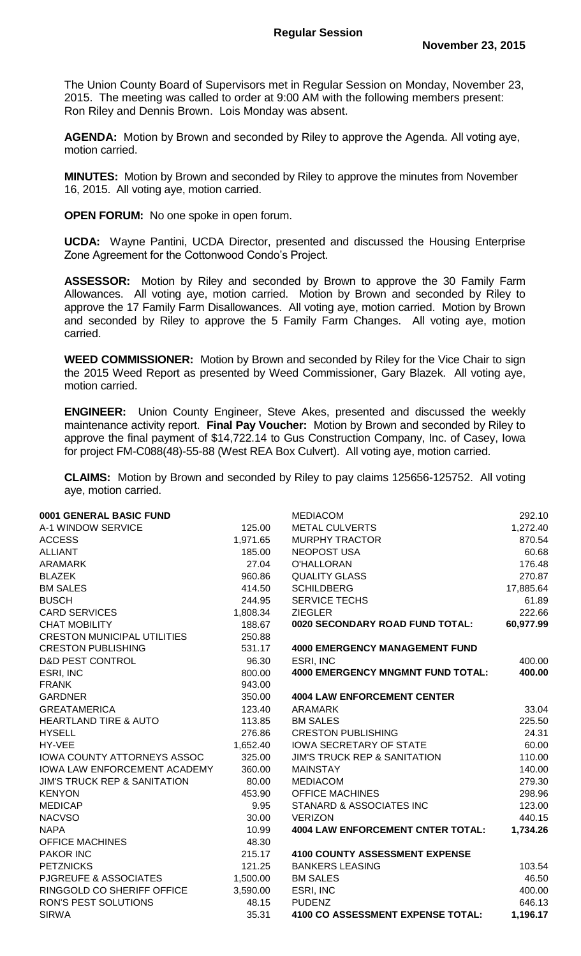The Union County Board of Supervisors met in Regular Session on Monday, November 23, 2015. The meeting was called to order at 9:00 AM with the following members present: Ron Riley and Dennis Brown. Lois Monday was absent.

**AGENDA:** Motion by Brown and seconded by Riley to approve the Agenda. All voting aye, motion carried.

**MINUTES:** Motion by Brown and seconded by Riley to approve the minutes from November 16, 2015. All voting aye, motion carried.

**OPEN FORUM:** No one spoke in open forum.

**UCDA:** Wayne Pantini, UCDA Director, presented and discussed the Housing Enterprise Zone Agreement for the Cottonwood Condo's Project.

**ASSESSOR:** Motion by Riley and seconded by Brown to approve the 30 Family Farm Allowances. All voting aye, motion carried. Motion by Brown and seconded by Riley to approve the 17 Family Farm Disallowances. All voting aye, motion carried. Motion by Brown and seconded by Riley to approve the 5 Family Farm Changes. All voting aye, motion carried.

**WEED COMMISSIONER:** Motion by Brown and seconded by Riley for the Vice Chair to sign the 2015 Weed Report as presented by Weed Commissioner, Gary Blazek. All voting aye, motion carried.

**ENGINEER:** Union County Engineer, Steve Akes, presented and discussed the weekly maintenance activity report. **Final Pay Voucher:** Motion by Brown and seconded by Riley to approve the final payment of \$14,722.14 to Gus Construction Company, Inc. of Casey, Iowa for project FM-C088(48)-55-88 (West REA Box Culvert). All voting aye, motion carried.

**CLAIMS:** Motion by Brown and seconded by Riley to pay claims 125656-125752. All voting aye, motion carried.

| 0001 GENERAL BASIC FUND                 |          | <b>MEDIACOM</b>                          | 292.10    |
|-----------------------------------------|----------|------------------------------------------|-----------|
| A-1 WINDOW SERVICE                      | 125.00   | <b>METAL CULVERTS</b>                    | 1,272.40  |
| <b>ACCESS</b>                           | 1,971.65 | <b>MURPHY TRACTOR</b>                    | 870.54    |
| <b>ALLIANT</b>                          | 185.00   | <b>NEOPOST USA</b>                       | 60.68     |
| <b>ARAMARK</b>                          | 27.04    | O'HALLORAN                               | 176.48    |
| <b>BLAZEK</b>                           | 960.86   | <b>QUALITY GLASS</b>                     | 270.87    |
| <b>BM SALES</b>                         | 414.50   | <b>SCHILDBERG</b>                        | 17,885.64 |
| <b>BUSCH</b>                            | 244.95   | <b>SERVICE TECHS</b>                     | 61.89     |
| <b>CARD SERVICES</b>                    | 1,808.34 | <b>ZIEGLER</b>                           | 222.66    |
| <b>CHAT MOBILITY</b>                    | 188.67   | 0020 SECONDARY ROAD FUND TOTAL:          | 60,977.99 |
| <b>CRESTON MUNICIPAL UTILITIES</b>      | 250.88   |                                          |           |
| <b>CRESTON PUBLISHING</b>               | 531.17   | <b>4000 EMERGENCY MANAGEMENT FUND</b>    |           |
| <b>D&amp;D PEST CONTROL</b>             | 96.30    | ESRI, INC                                | 400.00    |
| ESRI, INC                               | 800.00   | <b>4000 EMERGENCY MNGMNT FUND TOTAL:</b> | 400.00    |
| <b>FRANK</b>                            | 943.00   |                                          |           |
| <b>GARDNER</b>                          | 350.00   | <b>4004 LAW ENFORCEMENT CENTER</b>       |           |
| <b>GREATAMERICA</b>                     | 123.40   | ARAMARK                                  | 33.04     |
| <b>HEARTLAND TIRE &amp; AUTO</b>        | 113.85   | <b>BM SALES</b>                          | 225.50    |
| <b>HYSELL</b>                           | 276.86   | <b>CRESTON PUBLISHING</b>                | 24.31     |
| HY-VEE                                  | 1,652.40 | <b>IOWA SECRETARY OF STATE</b>           | 60.00     |
| IOWA COUNTY ATTORNEYS ASSOC             | 325.00   | <b>JIM'S TRUCK REP &amp; SANITATION</b>  | 110.00    |
| IOWA LAW ENFORCEMENT ACADEMY            | 360.00   | <b>MAINSTAY</b>                          | 140.00    |
| <b>JIM'S TRUCK REP &amp; SANITATION</b> | 80.00    | <b>MEDIACOM</b>                          | 279.30    |
| <b>KENYON</b>                           | 453.90   | <b>OFFICE MACHINES</b>                   | 298.96    |
| <b>MEDICAP</b>                          | 9.95     | STANARD & ASSOCIATES INC                 | 123.00    |
| <b>NACVSO</b>                           | 30.00    | <b>VERIZON</b>                           | 440.15    |
| <b>NAPA</b>                             | 10.99    | <b>4004 LAW ENFORCEMENT CNTER TOTAL:</b> | 1,734.26  |
| <b>OFFICE MACHINES</b>                  | 48.30    |                                          |           |
| <b>PAKOR INC</b>                        | 215.17   | <b>4100 COUNTY ASSESSMENT EXPENSE</b>    |           |
| <b>PETZNICKS</b>                        | 121.25   | <b>BANKERS LEASING</b>                   | 103.54    |
| <b>PJGREUFE &amp; ASSOCIATES</b>        | 1,500.00 | <b>BM SALES</b>                          | 46.50     |
| RINGGOLD CO SHERIFF OFFICE              | 3,590.00 | ESRI, INC                                | 400.00    |
| RON'S PEST SOLUTIONS                    | 48.15    | <b>PUDENZ</b>                            | 646.13    |
| <b>SIRWA</b>                            | 35.31    | <b>4100 CO ASSESSMENT EXPENSE TOTAL:</b> | 1,196.17  |